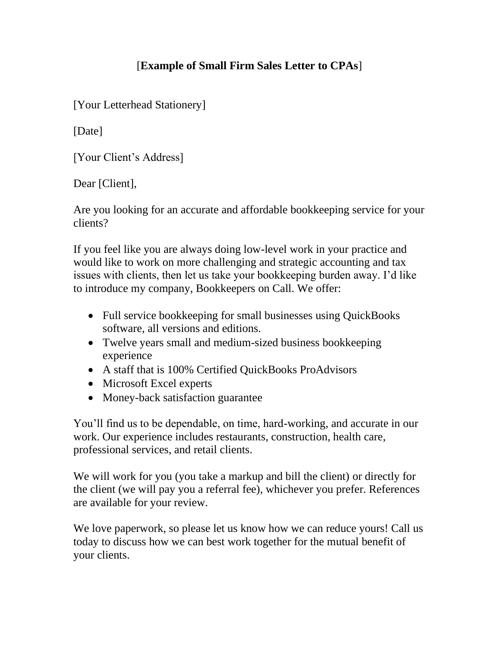## [**Example of Small Firm Sales Letter to CPAs**]

[Your Letterhead Stationery]

[Date]

[Your Client's Address]

Dear [Client],

Are you looking for an accurate and affordable bookkeeping service for your clients?

If you feel like you are always doing low-level work in your practice and would like to work on more challenging and strategic accounting and tax issues with clients, then let us take your bookkeeping burden away. I'd like to introduce my company, Bookkeepers on Call. We offer:

- Full service bookkeeping for small businesses using QuickBooks software, all versions and editions.
- Twelve years small and medium-sized business bookkeeping experience
- A staff that is 100% Certified QuickBooks ProAdvisors
- Microsoft Excel experts
- Money-back satisfaction guarantee

You'll find us to be dependable, on time, hard-working, and accurate in our work. Our experience includes restaurants, construction, health care, professional services, and retail clients.

We will work for you (you take a markup and bill the client) or directly for the client (we will pay you a referral fee), whichever you prefer. References are available for your review.

We love paperwork, so please let us know how we can reduce yours! Call us today to discuss how we can best work together for the mutual benefit of your clients.